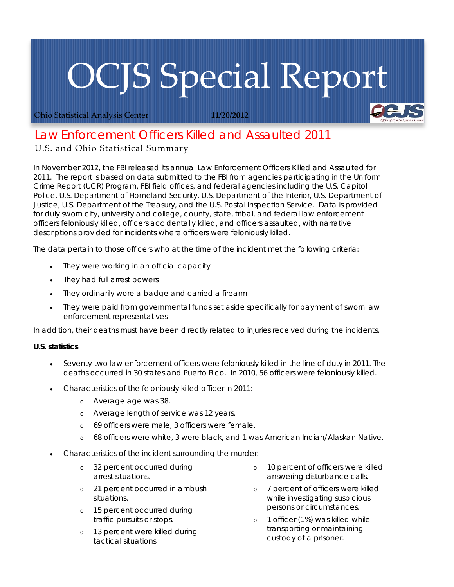# OCJS Special Report

Ohio Statistical Analysis Center **11/20/2012**

# *Law Enforcement Officers Killed and Assaulted 2011*

## U.S. and Ohio Statistical Summary

In November 2012, the FBI released its annual *Law Enforcement Officers Killed and Assaulted* for 2011. The report is based on data submitted to the FBI from agencies participating in the Uniform Crime Report (UCR) Program, FBI field offices, and federal agencies including the U.S. Capitol Police, U.S. Department of Homeland Security, U.S. Department of the Interior, U.S. Department of Justice, U.S. Department of the Treasury, and the U.S. Postal Inspection Service. Data is provided for duly sworn city, university and college, county, state, tribal, and federal law enforcement officers feloniously killed, officers accidentally killed, and officers assaulted, with narrative descriptions provided for incidents where officers were feloniously killed.

The data pertain to those officers who at the time of the incident met the following criteria:

- They were working in an official capacity
- They had full arrest powers
- They ordinarily wore a badge and carried a firearm
- They were paid from governmental funds set aside specifically for payment of sworn law enforcement representatives

In addition, their deaths must have been directly related to injuries received during the incidents.

### **U.S. statistics**

- Seventy-two law enforcement officers were feloniously killed in the line of duty in 2011. The deaths occurred in 30 states and Puerto Rico. In 2010, 56 officers were feloniously killed.
- Characteristics of the feloniously killed officer in 2011:
	- o Average age was 38.
	- o Average length of service was 12 years.
	- o 69 officers were male, 3 officers were female.
	- o 68 officers were white, 3 were black, and 1 was American Indian/Alaskan Native.
- Characteristics of the incident surrounding the murder:
	- o 32 percent occurred during arrest situations.
	- o 21 percent occurred in ambush situations.
	- o 15 percent occurred during traffic pursuits or stops.
	- o 13 percent were killed during tactical situations.
- 10 percent of officers were killed answering disturbance calls.
- o 7 percent of officers were killed while investigating suspicious persons or circumstances.
- o 1 officer (1%) was killed while transporting or maintaining custody of a prisoner.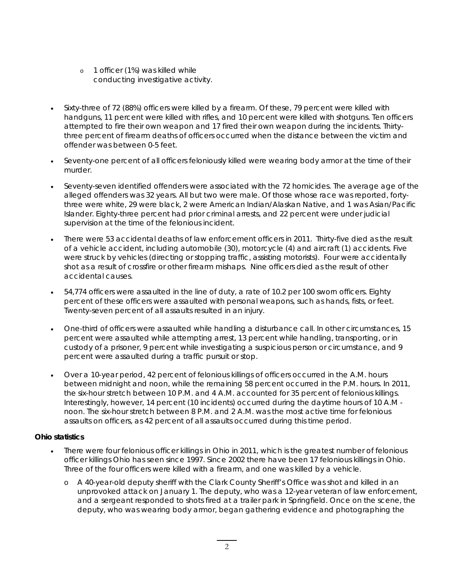- o 1 officer (1%) was killed while conducting investigative activity.
- Sixty-three of 72 (88%) officers were killed by a firearm. Of these, 79 percent were killed with handguns, 11 percent were killed with rifles, and 10 percent were killed with shotguns. Ten officers attempted to fire their own weapon and 17 fired their own weapon during the incidents. Thirtythree percent of firearm deaths of officers occurred when the distance between the victim and offender was between 0-5 feet.
- Seventy-one percent of all officers feloniously killed were wearing body armor at the time of their murder.
- Seventy-seven identified offenders were associated with the 72 homicides. The average age of the alleged offenders was 32 years. All but two were male. Of those whose race was reported, fortythree were white, 29 were black, 2 were American Indian/Alaskan Native, and 1 was Asian/Pacific Islander. Eighty-three percent had prior criminal arrests, and 22 percent were under judicial supervision at the time of the felonious incident.
- There were 53 accidental deaths of law enforcement officers in 2011. Thirty-five died as the result of a vehicle accident, including automobile (30), motorcycle (4) and aircraft (1) accidents. Five were struck by vehicles (directing or stopping traffic, assisting motorists). Four were accidentally shot as a result of crossfire or other firearm mishaps. Nine officers died as the result of other accidental causes.
- 54,774 officers were assaulted in the line of duty, a rate of 10.2 per 100 sworn officers. Eighty percent of these officers were assaulted with personal weapons, such as hands, fists, or feet. Twenty-seven percent of all assaults resulted in an injury.
- One-third of officers were assaulted while handling a disturbance call. In other circumstances, 15 percent were assaulted while attempting arrest, 13 percent while handling, transporting, or in custody of a prisoner, 9 percent while investigating a suspicious person or circumstance, and 9 percent were assaulted during a traffic pursuit or stop.
- Over a 10-year period, 42 percent of felonious killings of officers occurred in the A.M. hours between midnight and noon, while the remaining 58 percent occurred in the P.M. hours. In 2011, the six-hour stretch between 10 P.M. and 4 A.M. accounted for 35 percent of felonious killings. Interestingly, however, 14 percent (10 incidents) occurred during the daytime hours of 10 A.M noon. The six-hour stretch between 8 P.M. and 2 A.M. was the most active time for felonious assaults on officers, as 42 percent of all assaults occurred during this time period.

### **Ohio statistics**

- There were four felonious officer killings in Ohio in 2011, which is the greatest number of felonious officer killings Ohio has seen since 1997. Since 2002 there have been 17 felonious killings in Ohio. Three of the four officers were killed with a firearm, and one was killed by a vehicle.
	- o A 40-year-old deputy sheriff with the Clark County Sheriff's Office was shot and killed in an unprovoked attack on January 1. The deputy, who was a 12-year veteran of law enforcement, and a sergeant responded to shots fired at a trailer park in Springfield. Once on the scene, the deputy, who was wearing body armor, began gathering evidence and photographing the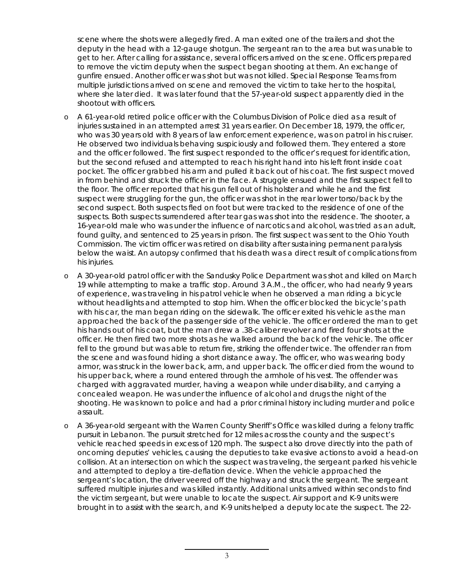scene where the shots were allegedly fired. A man exited one of the trailers and shot the deputy in the head with a 12-gauge shotgun. The sergeant ran to the area but was unable to get to her. After calling for assistance, several officers arrived on the scene. Officers prepared to remove the victim deputy when the suspect began shooting at them. An exchange of gunfire ensued. Another officer was shot but was not killed. Special Response Teams from multiple jurisdictions arrived on scene and removed the victim to take her to the hospital, where she later died. It was later found that the 57-year-old suspect apparently died in the shootout with officers.

- o A 61-year-old retired police officer with the Columbus Division of Police died as a result of injuries sustained in an attempted arrest 31 years earlier. On December 18, 1979, the officer, who was 30 years old with 8 years of law enforcement experience, was on patrol in his cruiser. He observed two individuals behaving suspiciously and followed them. They entered a store and the officer followed. The first suspect responded to the officer's request for identification, but the second refused and attempted to reach his right hand into his left front inside coat pocket. The officer grabbed his arm and pulled it back out of his coat. The first suspect moved in from behind and struck the officer in the face. A struggle ensued and the first suspect fell to the floor. The officer reported that his gun fell out of his holster and while he and the first suspect were struggling for the gun, the officer was shot in the rear lower torso/back by the second suspect. Both suspects fled on foot but were tracked to the residence of one of the suspects. Both suspects surrendered after tear gas was shot into the residence. The shooter, a 16-year-old male who was under the influence of narcotics and alcohol, was tried as an adult, found guilty, and sentenced to 25 years in prison. The first suspect was sent to the Ohio Youth Commission. The victim officer was retired on disability after sustaining permanent paralysis below the waist. An autopsy confirmed that his death was a direct result of complications from his injuries.
- o A 30-year-old patrol officer with the Sandusky Police Department was shot and killed on March 19 while attempting to make a traffic stop. Around 3 A.M., the officer, who had nearly 9 years of experience, was traveling in his patrol vehicle when he observed a man riding a bicycle without headlights and attempted to stop him. When the officer blocked the bicycle's path with his car, the man began riding on the sidewalk. The officer exited his vehicle as the man approached the back of the passenger side of the vehicle. The officer ordered the man to get his hands out of his coat, but the man drew a .38-caliber revolver and fired four shots at the officer. He then fired two more shots as he walked around the back of the vehicle. The officer fell to the ground but was able to return fire, striking the offender twice. The offender ran from the scene and was found hiding a short distance away. The officer, who was wearing body armor, was struck in the lower back, arm, and upper back. The officer died from the wound to his upper back, where a round entered through the armhole of his vest. The offender was charged with aggravated murder, having a weapon while under disability, and carrying a concealed weapon. He was under the influence of alcohol and drugs the night of the shooting. He was known to police and had a prior criminal history including murder and police assault.
- o A 36-year-old sergeant with the Warren County Sheriff's Office was killed during a felony traffic pursuit in Lebanon. The pursuit stretched for 12 miles across the county and the suspect's vehicle reached speeds in excess of 120 mph. The suspect also drove directly into the path of oncoming deputies' vehicles, causing the deputies to take evasive actions to avoid a head-on collision. At an intersection on which the suspect was traveling, the sergeant parked his vehicle and attempted to deploy a tire-deflation device. When the vehicle approached the sergeant's location, the driver veered off the highway and struck the sergeant. The sergeant suffered multiple injuries and was killed instantly. Additional units arrived within seconds to find the victim sergeant, but were unable to locate the suspect. Air support and K-9 units were brought in to assist with the search, and K-9 units helped a deputy locate the suspect. The 22-